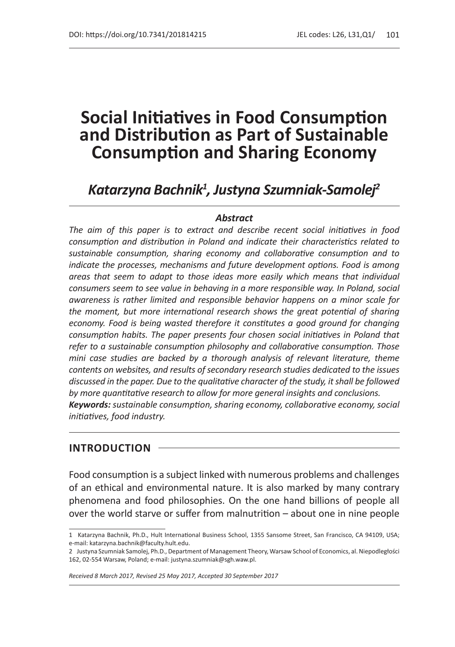# *Katarzyna Bachnik1 , Justyna Szumniak-Samolej2*

#### *Abstract*

*The aim of this paper is to extract and describe recent social initiatives in food consumption and distribution in Poland and indicate their characteristics related to sustainable consumption, sharing economy and collaborative consumption and to indicate the processes, mechanisms and future development options. Food is among areas that seem to adapt to those ideas more easily which means that individual consumers seem to see value in behaving in a more responsible way. In Poland, social awareness is rather limited and responsible behavior happens on a minor scale for the moment, but more international research shows the great potential of sharing economy. Food is being wasted therefore it constitutes a good ground for changing consumption habits. The paper presents four chosen social initiatives in Poland that refer to a sustainable consumption philosophy and collaborative consumption. Those mini case studies are backed by a thorough analysis of relevant literature, theme contents on websites, and results of secondary research studies dedicated to the issues discussed in the paper. Due to the qualitative character of the study, it shall be followed by more quantitative research to allow for more general insights and conclusions. Keywords: sustainable consumption, sharing economy, collaborative economy, social initiatives, food industry.*

#### **INTRODUCTION**

Food consumption is a subject linked with numerous problems and challenges of an ethical and environmental nature. It is also marked by many contrary phenomena and food philosophies. On the one hand billions of people all over the world starve or suffer from malnutrition – about one in nine people

*Received 8 March 2017, Revised 25 May 2017, Accepted 30 September 2017*

<sup>1</sup> Katarzyna Bachnik, Ph.D., Hult International Business School, 1355 Sansome Street, San Francisco, CA 94109, USA; e-mail: katarzyna.bachnik@faculty.hult.edu.

<sup>2</sup> Justyna Szumniak Samolej, Ph.D., Department of Management Theory, Warsaw School of Economics, al. Niepodległości 162, 02-554 Warsaw, Poland; e-mail: justyna.szumniak@sgh.waw.pl.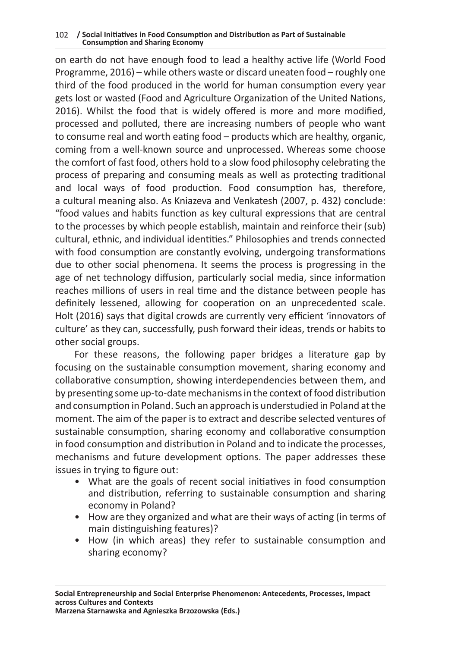on earth do not have enough food to lead a healthy active life (World Food Programme, 2016) – while others waste or discard uneaten food – roughly one third of the food produced in the world for human consumption every year gets lost or wasted (Food and Agriculture Organization of the United Nations, 2016). Whilst the food that is widely offered is more and more modified, processed and polluted, there are increasing numbers of people who want to consume real and worth eating food – products which are healthy, organic, coming from a well-known source and unprocessed. Whereas some choose the comfort of fast food, others hold to a slow food philosophy celebrating the process of preparing and consuming meals as well as protecting traditional and local ways of food production. Food consumption has, therefore, a cultural meaning also. As Kniazeva and Venkatesh (2007, p. 432) conclude: "food values and habits function as key cultural expressions that are central to the processes by which people establish, maintain and reinforce their (sub) cultural, ethnic, and individual identities." Philosophies and trends connected with food consumption are constantly evolving, undergoing transformations due to other social phenomena. It seems the process is progressing in the age of net technology diffusion, particularly social media, since information reaches millions of users in real time and the distance between people has definitely lessened, allowing for cooperation on an unprecedented scale. Holt (2016) says that digital crowds are currently very efficient 'innovators of culture' as they can, successfully, push forward their ideas, trends or habits to other social groups.

For these reasons, the following paper bridges a literature gap by focusing on the sustainable consumption movement, sharing economy and collaborative consumption, showing interdependencies between them, and by presenting some up-to-date mechanisms in the context of food distribution and consumption in Poland. Such an approach is understudied in Poland at the moment. The aim of the paper is to extract and describe selected ventures of sustainable consumption, sharing economy and collaborative consumption in food consumption and distribution in Poland and to indicate the processes, mechanisms and future development options. The paper addresses these issues in trying to figure out:

- What are the goals of recent social initiatives in food consumption and distribution, referring to sustainable consumption and sharing economy in Poland?
- How are they organized and what are their ways of acting (in terms of main distinguishing features)?
- How (in which areas) they refer to sustainable consumption and sharing economy?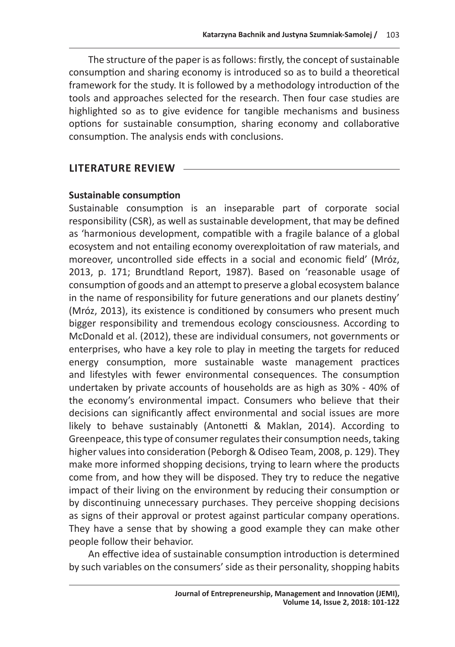The structure of the paper is as follows: firstly, the concept of sustainable consumption and sharing economy is introduced so as to build a theoretical framework for the study. It is followed by a methodology introduction of the tools and approaches selected for the research. Then four case studies are highlighted so as to give evidence for tangible mechanisms and business options for sustainable consumption, sharing economy and collaborative consumption. The analysis ends with conclusions.

# **LITERATURE REVIEW**

## **Sustainable consumption**

Sustainable consumption is an inseparable part of corporate social responsibility (CSR), as well as sustainable development, that may be defined as 'harmonious development, compatible with a fragile balance of a global ecosystem and not entailing economy overexploitation of raw materials, and moreover, uncontrolled side effects in a social and economic field' (Mróz, 2013, p. 171; Brundtland Report, 1987). Based on 'reasonable usage of consumption of goods and an attempt to preserve a global ecosystem balance in the name of responsibility for future generations and our planets destiny' (Mróz, 2013), its existence is conditioned by consumers who present much bigger responsibility and tremendous ecology consciousness. According to McDonald et al. (2012), these are individual consumers, not governments or enterprises, who have a key role to play in meeting the targets for reduced energy consumption, more sustainable waste management practices and lifestyles with fewer environmental consequences. The consumption undertaken by private accounts of households are as high as 30% - 40% of the economy's environmental impact. Consumers who believe that their decisions can significantly affect environmental and social issues are more likely to behave sustainably (Antonetti & Maklan, 2014). According to Greenpeace, this type of consumer regulates their consumption needs, taking higher values into consideration (Peborgh & Odiseo Team, 2008, p. 129). They make more informed shopping decisions, trying to learn where the products come from, and how they will be disposed. They try to reduce the negative impact of their living on the environment by reducing their consumption or by discontinuing unnecessary purchases. They perceive shopping decisions as signs of their approval or protest against particular company operations. They have a sense that by showing a good example they can make other people follow their behavior.

An effective idea of sustainable consumption introduction is determined by such variables on the consumers' side as their personality, shopping habits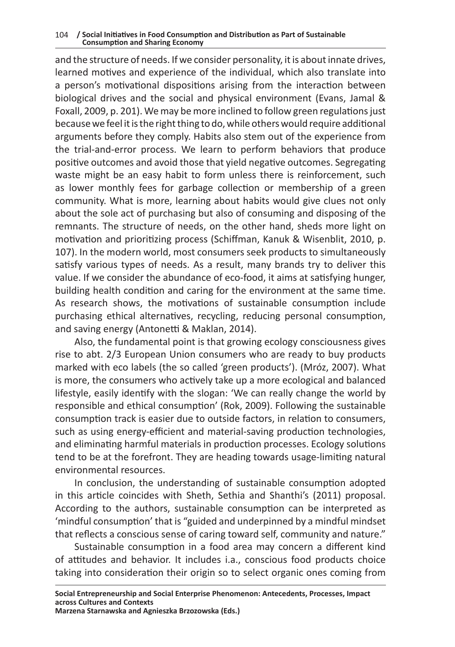and the structure of needs. If we consider personality, it is about innate drives, learned motives and experience of the individual, which also translate into a person's motivational dispositions arising from the interaction between biological drives and the social and physical environment (Evans, Jamal & Foxall, 2009, p. 201). We may be more inclined to follow green regulations just because we feel it is the right thing to do, while others would require additional arguments before they comply. Habits also stem out of the experience from the trial-and-error process. We learn to perform behaviors that produce positive outcomes and avoid those that yield negative outcomes. Segregating waste might be an easy habit to form unless there is reinforcement, such as lower monthly fees for garbage collection or membership of a green community. What is more, learning about habits would give clues not only about the sole act of purchasing but also of consuming and disposing of the remnants. The structure of needs, on the other hand, sheds more light on motivation and prioritizing process (Schiffman, Kanuk & Wisenblit, 2010, p. 107). In the modern world, most consumers seek products to simultaneously satisfy various types of needs. As a result, many brands try to deliver this value. If we consider the abundance of eco-food, it aims at satisfying hunger, building health condition and caring for the environment at the same time. As research shows, the motivations of sustainable consumption include purchasing ethical alternatives, recycling, reducing personal consumption, and saving energy (Antonetti & Maklan, 2014).

Also, the fundamental point is that growing ecology consciousness gives rise to abt. 2/3 European Union consumers who are ready to buy products marked with eco labels (the so called 'green products'). (Mróz, 2007). What is more, the consumers who actively take up a more ecological and balanced lifestyle, easily identify with the slogan: 'We can really change the world by responsible and ethical consumption' (Rok, 2009). Following the sustainable consumption track is easier due to outside factors, in relation to consumers, such as using energy-efficient and material-saving production technologies, and eliminating harmful materials in production processes. Ecology solutions tend to be at the forefront. They are heading towards usage-limiting natural environmental resources.

In conclusion, the understanding of sustainable consumption adopted in this article coincides with Sheth, Sethia and Shanthi's (2011) proposal. According to the authors, sustainable consumption can be interpreted as 'mindful consumption' that is "guided and underpinned by a mindful mindset that reflects a conscious sense of caring toward self, community and nature."

Sustainable consumption in a food area may concern a different kind of attitudes and behavior. It includes i.a., conscious food products choice taking into consideration their origin so to select organic ones coming from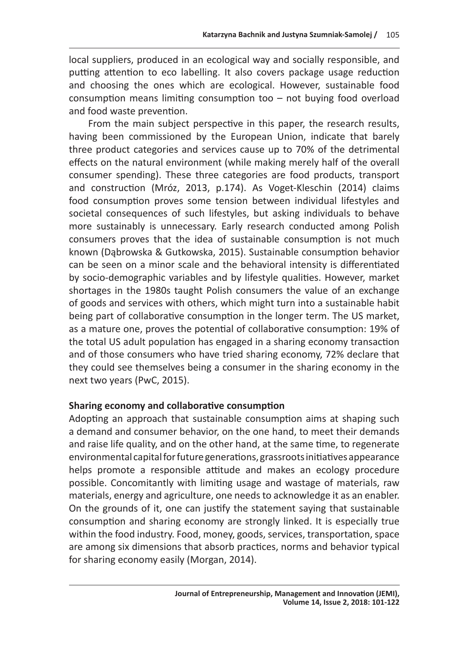local suppliers, produced in an ecological way and socially responsible, and putting attention to eco labelling. It also covers package usage reduction and choosing the ones which are ecological. However, sustainable food consumption means limiting consumption too – not buying food overload and food waste prevention.

From the main subject perspective in this paper, the research results, having been commissioned by the European Union, indicate that barely three product categories and services cause up to 70% of the detrimental effects on the natural environment (while making merely half of the overall consumer spending). These three categories are food products, transport and construction (Mróz, 2013, p.174). As Voget-Kleschin (2014) claims food consumption proves some tension between individual lifestyles and societal consequences of such lifestyles, but asking individuals to behave more sustainably is unnecessary. Early research conducted among Polish consumers proves that the idea of sustainable consumption is not much known (Dąbrowska & Gutkowska, 2015). Sustainable consumption behavior can be seen on a minor scale and the behavioral intensity is differentiated by socio-demographic variables and by lifestyle qualities. However, market shortages in the 1980s taught Polish consumers the value of an exchange of goods and services with others, which might turn into a sustainable habit being part of collaborative consumption in the longer term. The US market, as a mature one, proves the potential of collaborative consumption: 19% of the total US adult population has engaged in a sharing economy transaction and of those consumers who have tried sharing economy, 72% declare that they could see themselves being a consumer in the sharing economy in the next two years (PwC, 2015).

## **Sharing economy and collaborative consumption**

Adopting an approach that sustainable consumption aims at shaping such a demand and consumer behavior, on the one hand, to meet their demands and raise life quality, and on the other hand, at the same time, to regenerate environmental capital for future generations, grassroots initiatives appearance helps promote a responsible attitude and makes an ecology procedure possible. Concomitantly with limiting usage and wastage of materials, raw materials, energy and agriculture, one needs to acknowledge it as an enabler. On the grounds of it, one can justify the statement saying that sustainable consumption and sharing economy are strongly linked. It is especially true within the food industry. Food, money, goods, services, transportation, space are among six dimensions that absorb practices, norms and behavior typical for sharing economy easily (Morgan, 2014).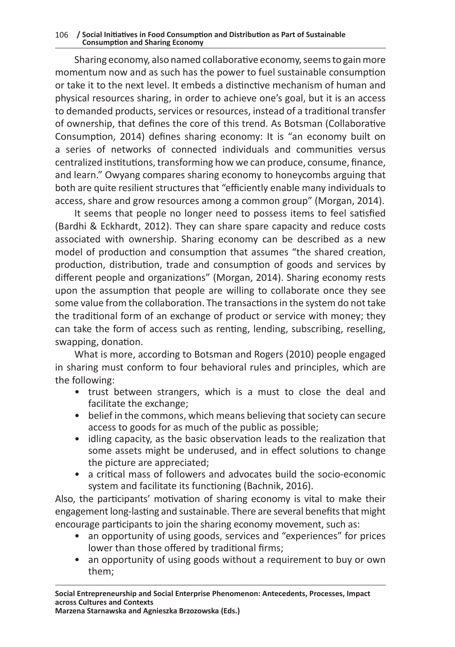Sharing economy, also named collaborative economy, seems to gain more momentum now and as such has the power to fuel sustainable consumption or take it to the next level. It embeds a distinctive mechanism of human and physical resources sharing, in order to achieve one's goal, but it is an access to demanded products, services or resources, instead of a traditional transfer of ownership, that defines the core of this trend. As Botsman (Collaborative Consumption, 2014) defines sharing economy: It is "an economy built on a series of networks of connected individuals and communities versus centralized institutions, transforming how we can produce, consume, finance, and learn." Owyang compares sharing economy to honeycombs arguing that both are quite resilient structures that "efficiently enable many individuals to access, share and grow resources among a common group" (Morgan, 2014).

It seems that people no longer need to possess items to feel satisfied (Bardhi & Eckhardt, 2012). They can share spare capacity and reduce costs associated with ownership. Sharing economy can be described as a new model of production and consumption that assumes "the shared creation, production, distribution, trade and consumption of goods and services by different people and organizations" (Morgan, 2014). Sharing economy rests upon the assumption that people are willing to collaborate once they see some value from the collaboration. The transactions in the system do not take the traditional form of an exchange of product or service with money; they can take the form of access such as renting, lending, subscribing, reselling, swapping, donation.

What is more, according to Botsman and Rogers (2010) people engaged in sharing must conform to four behavioral rules and principles, which are the following:

- trust between strangers, which is a must to close the deal and facilitate the exchange;
- belief in the commons, which means believing that society can secure access to goods for as much of the public as possible;
- idling capacity, as the basic observation leads to the realization that some assets might be underused, and in effect solutions to change the picture are appreciated;
- a critical mass of followers and advocates build the socio-economic system and facilitate its functioning (Bachnik, 2016).

Also, the participants' motivation of sharing economy is vital to make their engagement long-lasting and sustainable. There are several benefits that might encourage participants to join the sharing economy movement, such as:

- an opportunity of using goods, services and "experiences" for prices lower than those offered by traditional firms;
- an opportunity of using goods without a requirement to buy or own them;

**Marzena Starnawska and Agnieszka Brzozowska (Eds.)**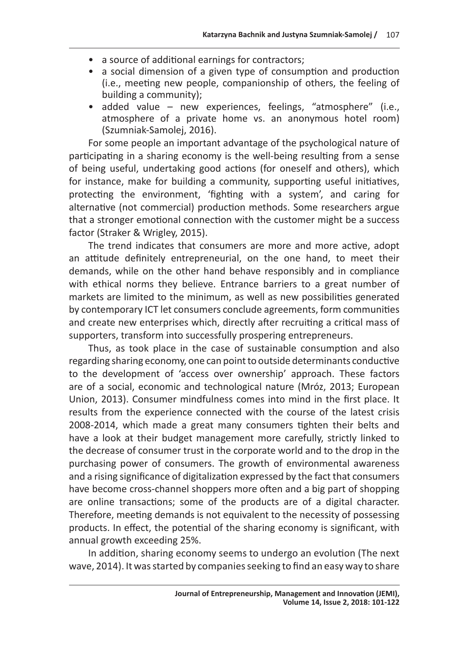- a source of additional earnings for contractors;
- a social dimension of a given type of consumption and production (i.e., meeting new people, companionship of others, the feeling of building a community);
- added value new experiences, feelings, "atmosphere" (i.e., atmosphere of a private home vs. an anonymous hotel room) (Szumniak-Samolej, 2016).

For some people an important advantage of the psychological nature of participating in a sharing economy is the well-being resulting from a sense of being useful, undertaking good actions (for oneself and others), which for instance, make for building a community, supporting useful initiatives, protecting the environment, 'fighting with a system', and caring for alternative (not commercial) production methods. Some researchers argue that a stronger emotional connection with the customer might be a success factor (Straker & Wrigley, 2015).

The trend indicates that consumers are more and more active, adopt an attitude definitely entrepreneurial, on the one hand, to meet their demands, while on the other hand behave responsibly and in compliance with ethical norms they believe. Entrance barriers to a great number of markets are limited to the minimum, as well as new possibilities generated by contemporary ICT let consumers conclude agreements, form communities and create new enterprises which, directly after recruiting a critical mass of supporters, transform into successfully prospering entrepreneurs.

Thus, as took place in the case of sustainable consumption and also regarding sharing economy, one can point to outside determinants conductive to the development of 'access over ownership' approach. These factors are of a social, economic and technological nature (Mróz, 2013; European Union, 2013). Consumer mindfulness comes into mind in the first place. It results from the experience connected with the course of the latest crisis 2008-2014, which made a great many consumers tighten their belts and have a look at their budget management more carefully, strictly linked to the decrease of consumer trust in the corporate world and to the drop in the purchasing power of consumers. The growth of environmental awareness and a rising significance of digitalization expressed by the fact that consumers have become cross-channel shoppers more often and a big part of shopping are online transactions; some of the products are of a digital character. Therefore, meeting demands is not equivalent to the necessity of possessing products. In effect, the potential of the sharing economy is significant, with annual growth exceeding 25%.

In addition, sharing economy seems to undergo an evolution (The next wave, 2014). It was started by companies seeking to find an easy way to share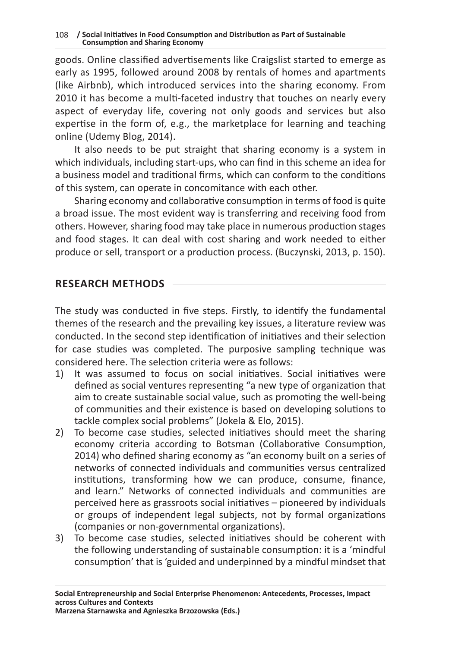goods. Online classified advertisements like Craigslist started to emerge as early as 1995, followed around 2008 by rentals of homes and apartments (like Airbnb), which introduced services into the sharing economy. From 2010 it has become a multi-faceted industry that touches on nearly every aspect of everyday life, covering not only goods and services but also expertise in the form of, e.g., the marketplace for learning and teaching online (Udemy Blog, 2014).

It also needs to be put straight that sharing economy is a system in which individuals, including start-ups, who can find in this scheme an idea for a business model and traditional firms, which can conform to the conditions of this system, can operate in concomitance with each other.

Sharing economy and collaborative consumption in terms of food is quite a broad issue. The most evident way is transferring and receiving food from others. However, sharing food may take place in numerous production stages and food stages. It can deal with cost sharing and work needed to either produce or sell, transport or a production process. (Buczynski, 2013, p. 150).

## **RESEARCH METHODS**

The study was conducted in five steps. Firstly, to identify the fundamental themes of the research and the prevailing key issues, a literature review was conducted. In the second step identification of initiatives and their selection for case studies was completed. The purposive sampling technique was considered here. The selection criteria were as follows:

- 1) It was assumed to focus on social initiatives. Social initiatives were defined as social ventures representing "a new type of organization that aim to create sustainable social value, such as promoting the well-being of communities and their existence is based on developing solutions to tackle complex social problems" (Jokela & Elo, 2015).
- 2) To become case studies, selected initiatives should meet the sharing economy criteria according to Botsman (Collaborative Consumption, 2014) who defined sharing economy as "an economy built on a series of networks of connected individuals and communities versus centralized institutions, transforming how we can produce, consume, finance, and learn." Networks of connected individuals and communities are perceived here as grassroots social initiatives – pioneered by individuals or groups of independent legal subjects, not by formal organizations (companies or non-governmental organizations).
- 3) To become case studies, selected initiatives should be coherent with the following understanding of sustainable consumption: it is a 'mindful consumption' that is 'guided and underpinned by a mindful mindset that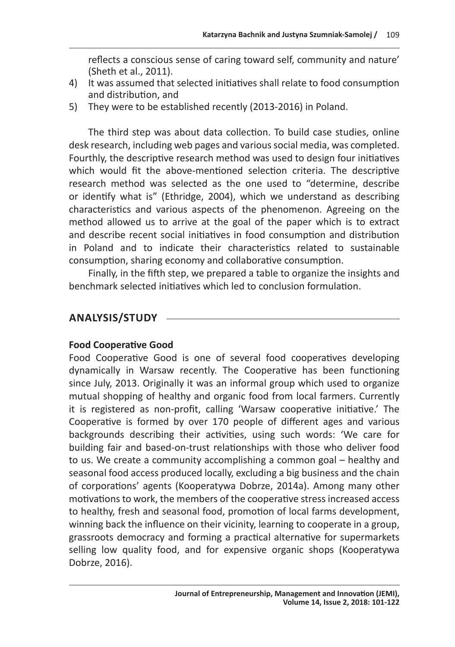reflects a conscious sense of caring toward self, community and nature' (Sheth et al., 2011).

- 4) It was assumed that selected initiatives shall relate to food consumption and distribution, and
- 5) They were to be established recently (2013-2016) in Poland.

The third step was about data collection. To build case studies, online desk research, including web pages and various social media, was completed. Fourthly, the descriptive research method was used to design four initiatives which would fit the above-mentioned selection criteria. The descriptive research method was selected as the one used to "determine, describe or identify what is" (Ethridge, 2004), which we understand as describing characteristics and various aspects of the phenomenon. Agreeing on the method allowed us to arrive at the goal of the paper which is to extract and describe recent social initiatives in food consumption and distribution in Poland and to indicate their characteristics related to sustainable consumption, sharing economy and collaborative consumption.

Finally, in the fifth step, we prepared a table to organize the insights and benchmark selected initiatives which led to conclusion formulation.

# **ANALYSIS/STUDY**

## **Food Cooperative Good**

Food Cooperative Good is one of several food cooperatives developing dynamically in Warsaw recently. The Cooperative has been functioning since July, 2013. Originally it was an informal group which used to organize mutual shopping of healthy and organic food from local farmers. Currently it is registered as non-profit, calling 'Warsaw cooperative initiative.' The Cooperative is formed by over 170 people of different ages and various backgrounds describing their activities, using such words: 'We care for building fair and based-on-trust relationships with those who deliver food to us. We create a community accomplishing a common goal – healthy and seasonal food access produced locally, excluding a big business and the chain of corporations' agents (Kooperatywa Dobrze, 2014a). Among many other motivations to work, the members of the cooperative stress increased access to healthy, fresh and seasonal food, promotion of local farms development, winning back the influence on their vicinity, learning to cooperate in a group, grassroots democracy and forming a practical alternative for supermarkets selling low quality food, and for expensive organic shops (Kooperatywa Dobrze, 2016).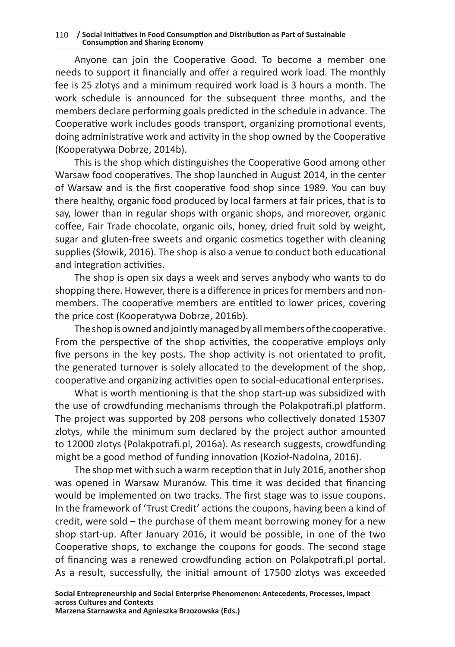Anyone can join the Cooperative Good. To become a member one needs to support it financially and offer a required work load. The monthly fee is 25 zlotys and a minimum required work load is 3 hours a month. The work schedule is announced for the subsequent three months, and the members declare performing goals predicted in the schedule in advance. The Cooperative work includes goods transport, organizing promotional events, doing administrative work and activity in the shop owned by the Cooperative (Kooperatywa Dobrze, 2014b).

This is the shop which distinguishes the Cooperative Good among other Warsaw food cooperatives. The shop launched in August 2014, in the center of Warsaw and is the first cooperative food shop since 1989. You can buy there healthy, organic food produced by local farmers at fair prices, that is to say, lower than in regular shops with organic shops, and moreover, organic coffee, Fair Trade chocolate, organic oils, honey, dried fruit sold by weight, sugar and gluten-free sweets and organic cosmetics together with cleaning supplies (Słowik, 2016). The shop is also a venue to conduct both educational and integration activities.

The shop is open six days a week and serves anybody who wants to do shopping there. However, there is a difference in prices for members and nonmembers. The cooperative members are entitled to lower prices, covering the price cost (Kooperatywa Dobrze, 2016b).

The shop is owned and jointly managed by all members of the cooperative. From the perspective of the shop activities, the cooperative employs only five persons in the key posts. The shop activity is not orientated to profit, the generated turnover is solely allocated to the development of the shop, cooperative and organizing activities open to social-educational enterprises.

What is worth mentioning is that the shop start-up was subsidized with the use of crowdfunding mechanisms through the Polakpotrafi.pl platform. The project was supported by 208 persons who collectively donated 15307 zlotys, while the minimum sum declared by the project author amounted to 12000 zlotys (Polakpotrafi.pl, 2016a). As research suggests, crowdfunding might be a good method of funding innovation (Kozioł-Nadolna, 2016).

The shop met with such a warm reception that in July 2016, another shop was opened in Warsaw Muranów. This time it was decided that financing would be implemented on two tracks. The first stage was to issue coupons. In the framework of 'Trust Credit' actions the coupons, having been a kind of credit, were sold – the purchase of them meant borrowing money for a new shop start-up. After January 2016, it would be possible, in one of the two Cooperative shops, to exchange the coupons for goods. The second stage of financing was a renewed crowdfunding action on Polakpotrafi.pl portal. As a result, successfully, the initial amount of 17500 zlotys was exceeded

**Social Entrepreneurship and Social Enterprise Phenomenon: Antecedents, Processes, Impact across Cultures and Contexts Marzena Starnawska and Agnieszka Brzozowska (Eds.)**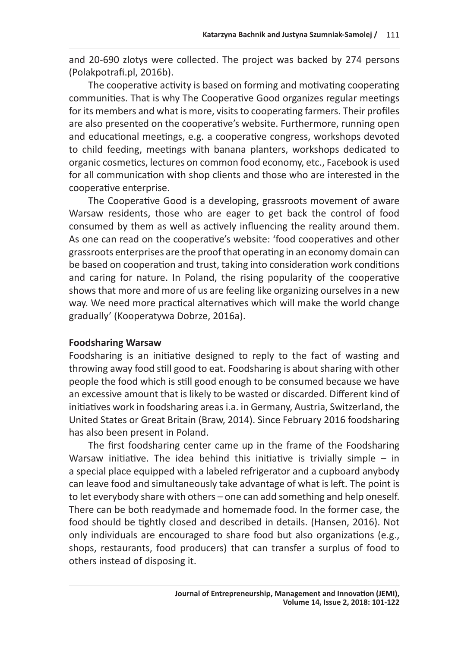and 20-690 zlotys were collected. The project was backed by 274 persons (Polakpotrafi.pl, 2016b).

The cooperative activity is based on forming and motivating cooperating communities. That is why The Cooperative Good organizes regular meetings for its members and what is more, visits to cooperating farmers. Their profiles are also presented on the cooperative's website. Furthermore, running open and educational meetings, e.g. a cooperative congress, workshops devoted to child feeding, meetings with banana planters, workshops dedicated to organic cosmetics, lectures on common food economy, etc., Facebook is used for all communication with shop clients and those who are interested in the cooperative enterprise.

The Cooperative Good is a developing, grassroots movement of aware Warsaw residents, those who are eager to get back the control of food consumed by them as well as actively influencing the reality around them. As one can read on the cooperative's website: 'food cooperatives and other grassroots enterprises are the proof that operating in an economy domain can be based on cooperation and trust, taking into consideration work conditions and caring for nature. In Poland, the rising popularity of the cooperative shows that more and more of us are feeling like organizing ourselves in a new way. We need more practical alternatives which will make the world change gradually' (Kooperatywa Dobrze, 2016a).

## **Foodsharing Warsaw**

Foodsharing is an initiative designed to reply to the fact of wasting and throwing away food still good to eat. Foodsharing is about sharing with other people the food which is still good enough to be consumed because we have an excessive amount that is likely to be wasted or discarded. Different kind of initiatives work in foodsharing areas i.a. in Germany, Austria, Switzerland, the United States or Great Britain (Braw, 2014). Since February 2016 foodsharing has also been present in Poland.

The first foodsharing center came up in the frame of the Foodsharing Warsaw initiative. The idea behind this initiative is trivially simple  $-$  in a special place equipped with a labeled refrigerator and a cupboard anybody can leave food and simultaneously take advantage of what is left. The point is to let everybody share with others – one can add something and help oneself. There can be both readymade and homemade food. In the former case, the food should be tightly closed and described in details. (Hansen, 2016). Not only individuals are encouraged to share food but also organizations (e.g., shops, restaurants, food producers) that can transfer a surplus of food to others instead of disposing it.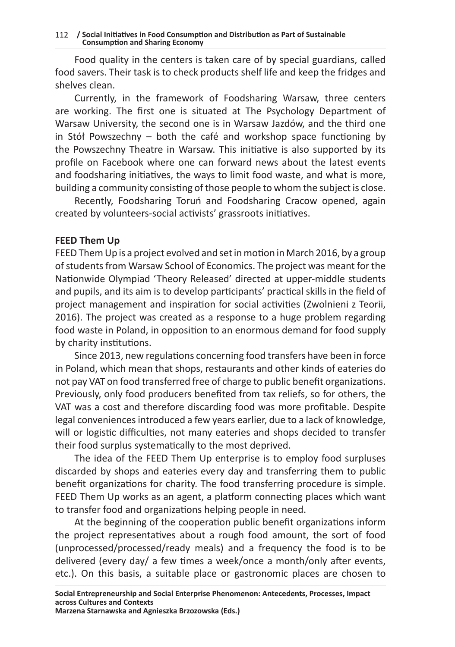Food quality in the centers is taken care of by special guardians, called food savers. Their task is to check products shelf life and keep the fridges and shelves clean.

Currently, in the framework of Foodsharing Warsaw, three centers are working. The first one is situated at The Psychology Department of Warsaw University, the second one is in Warsaw Jazdów, and the third one in Stół Powszechny – both the café and workshop space functioning by the Powszechny Theatre in Warsaw. This initiative is also supported by its profile on Facebook where one can forward news about the latest events and foodsharing initiatives, the ways to limit food waste, and what is more, building a community consisting of those people to whom the subject is close.

Recently, Foodsharing Toruń and Foodsharing Cracow opened, again created by volunteers-social activists' grassroots initiatives.

## **FEED Them Up**

FEED Them Up is a project evolved and set in motion in March 2016, by a group of students from Warsaw School of Economics. The project was meant for the Nationwide Olympiad 'Theory Released' directed at upper-middle students and pupils, and its aim is to develop participants' practical skills in the field of project management and inspiration for social activities (Zwolnieni z Teorii, 2016). The project was created as a response to a huge problem regarding food waste in Poland, in opposition to an enormous demand for food supply by charity institutions.

Since 2013, new regulations concerning food transfers have been in force in Poland, which mean that shops, restaurants and other kinds of eateries do not pay VAT on food transferred free of charge to public benefit organizations. Previously, only food producers benefited from tax reliefs, so for others, the VAT was a cost and therefore discarding food was more profitable. Despite legal conveniences introduced a few years earlier, due to a lack of knowledge, will or logistic difficulties, not many eateries and shops decided to transfer their food surplus systematically to the most deprived.

The idea of the FEED Them Up enterprise is to employ food surpluses discarded by shops and eateries every day and transferring them to public benefit organizations for charity. The food transferring procedure is simple. FEED Them Up works as an agent, a platform connecting places which want to transfer food and organizations helping people in need.

At the beginning of the cooperation public benefit organizations inform the project representatives about a rough food amount, the sort of food (unprocessed/processed/ready meals) and a frequency the food is to be delivered (every day/ a few times a week/once a month/only after events, etc.). On this basis, a suitable place or gastronomic places are chosen to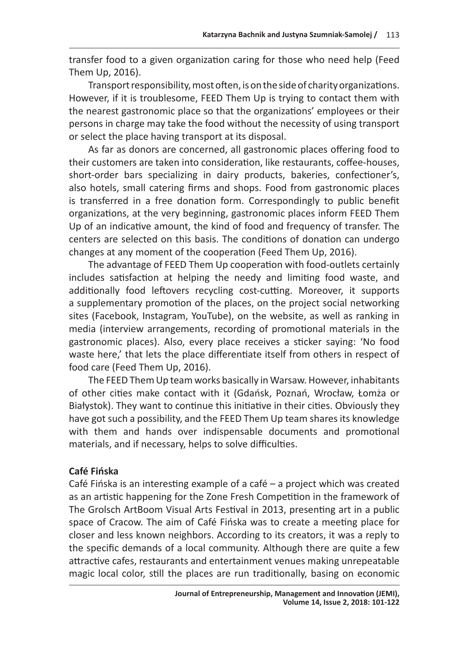transfer food to a given organization caring for those who need help (Feed Them Up, 2016).

Transport responsibility, most often, is on the side of charity organizations. However, if it is troublesome, FEED Them Up is trying to contact them with the nearest gastronomic place so that the organizations' employees or their persons in charge may take the food without the necessity of using transport or select the place having transport at its disposal.

As far as donors are concerned, all gastronomic places offering food to their customers are taken into consideration, like restaurants, coffee-houses, short-order bars specializing in dairy products, bakeries, confectioner's, also hotels, small catering firms and shops. Food from gastronomic places is transferred in a free donation form. Correspondingly to public benefit organizations, at the very beginning, gastronomic places inform FEED Them Up of an indicative amount, the kind of food and frequency of transfer. The centers are selected on this basis. The conditions of donation can undergo changes at any moment of the cooperation (Feed Them Up, 2016).

The advantage of FEED Them Up cooperation with food-outlets certainly includes satisfaction at helping the needy and limiting food waste, and additionally food leftovers recycling cost-cutting. Moreover, it supports a supplementary promotion of the places, on the project social networking sites (Facebook, Instagram, YouTube), on the website, as well as ranking in media (interview arrangements, recording of promotional materials in the gastronomic places). Also, every place receives a sticker saying: 'No food waste here,' that lets the place differentiate itself from others in respect of food care (Feed Them Up, 2016).

The FEED Them Up team works basically in Warsaw. However, inhabitants of other cities make contact with it (Gdańsk, Poznań, Wrocław, Łomża or Białystok). They want to continue this initiative in their cities. Obviously they have got such a possibility, and the FEED Them Up team shares its knowledge with them and hands over indispensable documents and promotional materials, and if necessary, helps to solve difficulties.

## **Café Fińska**

Café Fińska is an interesting example of a café – a project which was created as an artistic happening for the Zone Fresh Competition in the framework of The Grolsch ArtBoom Visual Arts Festival in 2013, presenting art in a public space of Cracow. The aim of Café Fińska was to create a meeting place for closer and less known neighbors. According to its creators, it was a reply to the specific demands of a local community. Although there are quite a few attractive cafes, restaurants and entertainment venues making unrepeatable magic local color, still the places are run traditionally, basing on economic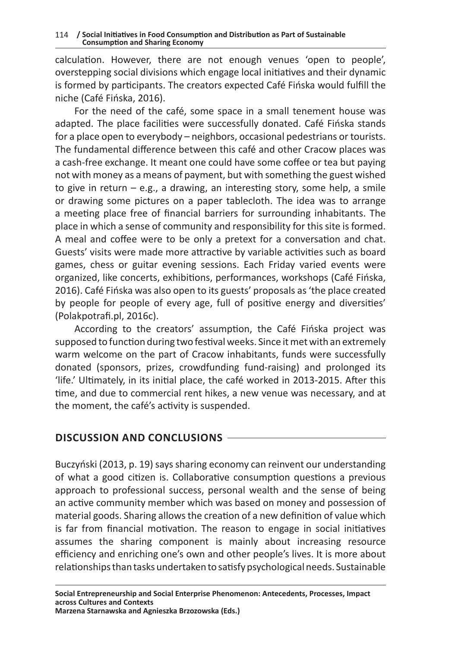calculation. However, there are not enough venues 'open to people', overstepping social divisions which engage local initiatives and their dynamic is formed by participants. The creators expected Café Fińska would fulfill the niche (Café Fińska, 2016).

For the need of the café, some space in a small tenement house was adapted. The place facilities were successfully donated. Café Fińska stands for a place open to everybody – neighbors, occasional pedestrians or tourists. The fundamental difference between this café and other Cracow places was a cash-free exchange. It meant one could have some coffee or tea but paying not with money as a means of payment, but with something the guest wished to give in return – e.g., a drawing, an interesting story, some help, a smile or drawing some pictures on a paper tablecloth. The idea was to arrange a meeting place free of financial barriers for surrounding inhabitants. The place in which a sense of community and responsibility for this site is formed. A meal and coffee were to be only a pretext for a conversation and chat. Guests' visits were made more attractive by variable activities such as board games, chess or guitar evening sessions. Each Friday varied events were organized, like concerts, exhibitions, performances, workshops (Café Fińska, 2016). Café Fińska was also open to its guests' proposals as 'the place created by people for people of every age, full of positive energy and diversities' (Polakpotrafi.pl, 2016c).

According to the creators' assumption, the Café Fińska project was supposed to function during two festival weeks. Since it met with an extremely warm welcome on the part of Cracow inhabitants, funds were successfully donated (sponsors, prizes, crowdfunding fund-raising) and prolonged its 'life.' Ultimately, in its initial place, the café worked in 2013-2015. After this time, and due to commercial rent hikes, a new venue was necessary, and at the moment, the café's activity is suspended.

## **DISCUSSION AND CONCLUSIONS**

Buczyński (2013, p. 19) says sharing economy can reinvent our understanding of what a good citizen is. Collaborative consumption questions a previous approach to professional success, personal wealth and the sense of being an active community member which was based on money and possession of material goods. Sharing allows the creation of a new definition of value which is far from financial motivation. The reason to engage in social initiatives assumes the sharing component is mainly about increasing resource efficiency and enriching one's own and other people's lives. It is more about relationships than tasks undertaken to satisfy psychological needs. Sustainable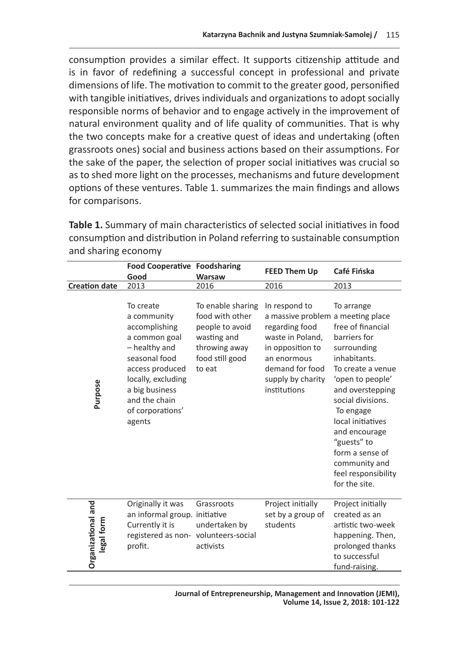consumption provides a similar effect. It supports citizenship attitude and is in favor of redefining a successful concept in professional and private dimensions of life. The motivation to commit to the greater good, personified with tangible initiatives, drives individuals and organizations to adopt socially responsible norms of behavior and to engage actively in the improvement of natural environment quality and of life quality of communities. That is why the two concepts make for a creative quest of ideas and undertaking (often grassroots ones) social and business actions based on their assumptions. For the sake of the paper, the selection of proper social initiatives was crucial so as to shed more light on the processes, mechanisms and future development options of these ventures. Table 1. summarizes the main findings and allows for comparisons.

**Table 1.** Summary of main characteristics of selected social initiatives in food consumption and distribution in Poland referring to sustainable consumption and sharing economy

|                                  | <b>Food Cooperative Foodsharing</b>                                                                                                                                                                    |                                                                                                                      | <b>FEED Them Up</b>                                                                                                                                                                 | Café Fińska                                                                                                                                                                                                                                                                                                    |
|----------------------------------|--------------------------------------------------------------------------------------------------------------------------------------------------------------------------------------------------------|----------------------------------------------------------------------------------------------------------------------|-------------------------------------------------------------------------------------------------------------------------------------------------------------------------------------|----------------------------------------------------------------------------------------------------------------------------------------------------------------------------------------------------------------------------------------------------------------------------------------------------------------|
|                                  | Good                                                                                                                                                                                                   | <b>Warsaw</b>                                                                                                        |                                                                                                                                                                                     |                                                                                                                                                                                                                                                                                                                |
| <b>Creation date</b>             | 2013                                                                                                                                                                                                   | 2016                                                                                                                 | 2016                                                                                                                                                                                | 2013                                                                                                                                                                                                                                                                                                           |
| Purpose                          | To create<br>a community<br>accomplishing<br>a common goal<br>- healthy and<br>seasonal food<br>access produced<br>locally, excluding<br>a big business<br>and the chain<br>of corporations'<br>agents | To enable sharing<br>food with other<br>people to avoid<br>wasting and<br>throwing away<br>food still good<br>to eat | In respond to<br>a massive problem a meeting place<br>regarding food<br>waste in Poland,<br>in opposition to<br>an enormous<br>demand for food<br>supply by charity<br>institutions | To arrange<br>free of financial<br>barriers for<br>surrounding<br>inhabitants.<br>To create a venue<br>'open to people'<br>and overstepping<br>social divisions.<br>To engage<br>local initiatives<br>and encourage<br>"guests" to<br>form a sense of<br>community and<br>feel responsibility<br>for the site. |
| Organizational and<br>legal form | Originally it was<br>an informal group. initiative<br>Currently it is<br>registered as non- volunteers-social<br>profit.                                                                               | Grassroots<br>undertaken by<br>activists                                                                             | Project initially<br>set by a group of<br>students                                                                                                                                  | Project initially<br>created as an<br>artistic two-week<br>happening. Then,<br>prolonged thanks<br>to successful<br>fund-raising.                                                                                                                                                                              |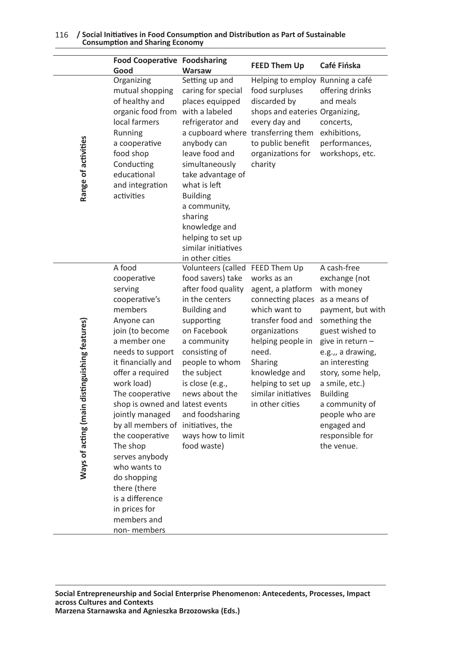|                                               | <b>Food Cooperative Foodsharing</b><br>Good                                                                                                                                                                                                                                                                                                                                                                                                                                |                                                                                                                                                                                                                                                                                                                               | <b>FEED Them Up</b>                                                                                                                                                                                                                   | Café Fińska                                                                                                                                                                                                                                                                                                                   |
|-----------------------------------------------|----------------------------------------------------------------------------------------------------------------------------------------------------------------------------------------------------------------------------------------------------------------------------------------------------------------------------------------------------------------------------------------------------------------------------------------------------------------------------|-------------------------------------------------------------------------------------------------------------------------------------------------------------------------------------------------------------------------------------------------------------------------------------------------------------------------------|---------------------------------------------------------------------------------------------------------------------------------------------------------------------------------------------------------------------------------------|-------------------------------------------------------------------------------------------------------------------------------------------------------------------------------------------------------------------------------------------------------------------------------------------------------------------------------|
| Range of activities                           | Organizing<br>mutual shopping<br>of healthy and<br>organic food from<br>local farmers<br>Running<br>a cooperative<br>food shop<br>Conducting<br>educational<br>and integration<br>activities                                                                                                                                                                                                                                                                               | Warsaw<br>Setting up and<br>caring for special<br>places equipped<br>with a labeled<br>refrigerator and<br>anybody can<br>leave food and<br>simultaneously<br>take advantage of<br>what is left<br><b>Building</b><br>a community,<br>sharing<br>knowledge and<br>helping to set up<br>similar initiatives<br>in other cities | Helping to employ Running a café<br>food surpluses<br>discarded by<br>shops and eateries Organizing,<br>every day and<br>a cupboard where transferring them<br>to public benefit<br>organizations for<br>charity                      | offering drinks<br>and meals<br>concerts,<br>exhibitions,<br>performances,<br>workshops, etc.                                                                                                                                                                                                                                 |
| Ways of acting (main distinguishing features) | A food<br>cooperative<br>serving<br>cooperative's<br>members<br>Anyone can<br>join (to become<br>a member one<br>needs to support<br>it financially and<br>offer a required<br>work load)<br>The cooperative<br>shop is owned and latest events<br>jointly managed<br>by all members of initiatives, the<br>the cooperative<br>The shop<br>serves anybody<br>who wants to<br>do shopping<br>there (there<br>is a difference<br>in prices for<br>members and<br>non-members | Volunteers (called FEED Them Up<br>food savers) take<br>after food quality<br>in the centers<br><b>Building and</b><br>supporting<br>on Facebook<br>a community<br>consisting of<br>people to whom<br>the subject<br>is close (e.g.,<br>news about the<br>and foodsharing<br>ways how to limit<br>food waste)                 | works as an<br>agent, a platform<br>connecting places<br>which want to<br>transfer food and<br>organizations<br>helping people in<br>need.<br>Sharing<br>knowledge and<br>helping to set up<br>similar initiatives<br>in other cities | A cash-free<br>exchange (not<br>with money<br>as a means of<br>payment, but with<br>something the<br>guest wished to<br>give in return -<br>e.g.,, a drawing,<br>an interesting<br>story, some help,<br>a smile, etc.)<br><b>Building</b><br>a community of<br>people who are<br>engaged and<br>responsible for<br>the venue. |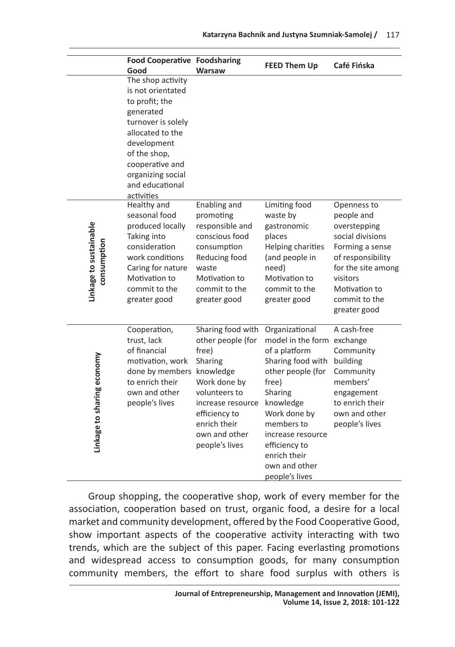|                                       | <b>Food Cooperative Foodsharing</b><br>Good                                                                                                                                                                             | <b>Warsaw</b>                                                                                                                                                                                     | <b>FEED Them Up</b>                                                                                                                                                                                                                                             | Café Fińska                                                                                                                                                                               |
|---------------------------------------|-------------------------------------------------------------------------------------------------------------------------------------------------------------------------------------------------------------------------|---------------------------------------------------------------------------------------------------------------------------------------------------------------------------------------------------|-----------------------------------------------------------------------------------------------------------------------------------------------------------------------------------------------------------------------------------------------------------------|-------------------------------------------------------------------------------------------------------------------------------------------------------------------------------------------|
|                                       | The shop activity<br>is not orientated<br>to profit; the<br>generated<br>turnover is solely<br>allocated to the<br>development<br>of the shop,<br>cooperative and<br>organizing social<br>and educational<br>activities |                                                                                                                                                                                                   |                                                                                                                                                                                                                                                                 |                                                                                                                                                                                           |
| Linkage to sustainable<br>consumption | Healthy and<br>seasonal food<br>produced locally<br>Taking into<br>consideration<br>work conditions<br>Caring for nature<br>Motivation to<br>commit to the<br>greater good                                              | Enabling and<br>promoting<br>responsible and<br>conscious food<br>consumption<br>Reducing food<br>waste<br>Motivation to<br>commit to the<br>greater good                                         | Limiting food<br>waste by<br>gastronomic<br>places<br>Helping charities<br>(and people in<br>need)<br>Motivation to<br>commit to the<br>greater good                                                                                                            | Openness to<br>people and<br>overstepping<br>social divisions<br>Forming a sense<br>of responsibility<br>for the site among<br>visitors<br>Motivation to<br>commit to the<br>greater good |
| Linkage to sharing economy            | Cooperation,<br>trust, lack<br>of financial<br>motivation, work<br>done by members<br>to enrich their<br>own and other<br>people's lives                                                                                | Sharing food with<br>other people (for<br>free)<br>Sharing<br>knowledge<br>Work done by<br>volunteers to<br>increase resource<br>efficiency to<br>enrich their<br>own and other<br>people's lives | Organizational<br>model in the form exchange<br>of a platform<br>Sharing food with<br>other people (for<br>free)<br>Sharing<br>knowledge<br>Work done by<br>members to<br>increase resource<br>efficiency to<br>enrich their<br>own and other<br>people's lives | A cash-free<br>Community<br>building<br>Community<br>members'<br>engagement<br>to enrich their<br>own and other<br>people's lives                                                         |

Group shopping, the cooperative shop, work of every member for the association, cooperation based on trust, organic food, a desire for a local market and community development, offered by the Food Cooperative Good, show important aspects of the cooperative activity interacting with two trends, which are the subject of this paper. Facing everlasting promotions and widespread access to consumption goods, for many consumption community members, the effort to share food surplus with others is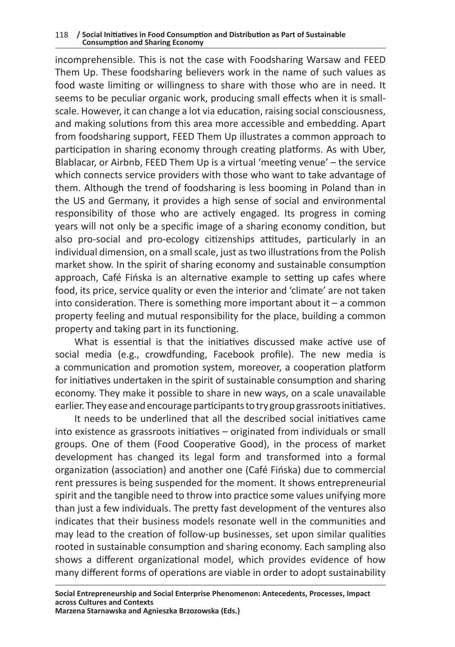incomprehensible. This is not the case with Foodsharing Warsaw and FEED Them Up. These foodsharing believers work in the name of such values as food waste limiting or willingness to share with those who are in need. It seems to be peculiar organic work, producing small effects when it is smallscale. However, it can change a lot via education, raising social consciousness, and making solutions from this area more accessible and embedding. Apart from foodsharing support, FEED Them Up illustrates a common approach to participation in sharing economy through creating platforms. As with Uber, Blablacar, or Airbnb, FEED Them Up is a virtual 'meeting venue' – the service which connects service providers with those who want to take advantage of them. Although the trend of foodsharing is less booming in Poland than in the US and Germany, it provides a high sense of social and environmental responsibility of those who are actively engaged. Its progress in coming years will not only be a specific image of a sharing economy condition, but also pro-social and pro-ecology citizenships attitudes, particularly in an individual dimension, on a small scale, just as two illustrations from the Polish market show. In the spirit of sharing economy and sustainable consumption approach, Café Fińska is an alternative example to setting up cafes where food, its price, service quality or even the interior and 'climate' are not taken into consideration. There is something more important about it  $-$  a common property feeling and mutual responsibility for the place, building a common property and taking part in its functioning.

What is essential is that the initiatives discussed make active use of social media (e.g., crowdfunding, Facebook profile). The new media is a communication and promotion system, moreover, a cooperation platform for initiatives undertaken in the spirit of sustainable consumption and sharing economy. They make it possible to share in new ways, on a scale unavailable earlier. They ease and encourage participants to try group grassroots initiatives.

It needs to be underlined that all the described social initiatives came into existence as grassroots initiatives – originated from individuals or small groups. One of them (Food Cooperative Good), in the process of market development has changed its legal form and transformed into a formal organization (association) and another one (Café Fińska) due to commercial rent pressures is being suspended for the moment. It shows entrepreneurial spirit and the tangible need to throw into practice some values unifying more than just a few individuals. The pretty fast development of the ventures also indicates that their business models resonate well in the communities and may lead to the creation of follow-up businesses, set upon similar qualities rooted in sustainable consumption and sharing economy. Each sampling also shows a different organizational model, which provides evidence of how many different forms of operations are viable in order to adopt sustainability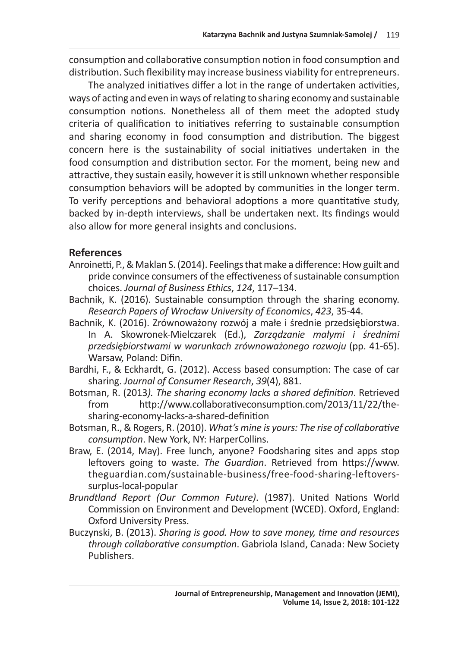consumption and collaborative consumption notion in food consumption and distribution. Such flexibility may increase business viability for entrepreneurs.

The analyzed initiatives differ a lot in the range of undertaken activities, ways of acting and even in ways of relating to sharing economy and sustainable consumption notions. Nonetheless all of them meet the adopted study criteria of qualification to initiatives referring to sustainable consumption and sharing economy in food consumption and distribution. The biggest concern here is the sustainability of social initiatives undertaken in the food consumption and distribution sector. For the moment, being new and attractive, they sustain easily, however it is still unknown whether responsible consumption behaviors will be adopted by communities in the longer term. To verify perceptions and behavioral adoptions a more quantitative study, backed by in-depth interviews, shall be undertaken next. Its findings would also allow for more general insights and conclusions.

## **References**

- Anroinetti, P., & Maklan S. (2014). Feelings that make a difference: How guilt and pride convince consumers of the effectiveness of sustainable consumption choices. *Journal of Business Ethics*, *124*, 117–134.
- Bachnik, K. (2016). Sustainable consumption through the sharing economy. *Research Papers of Wrocław University of Economics*, *423*, 35-44.
- Bachnik, K. (2016). Zrównoważony rozwój a małe i średnie przedsiębiorstwa. In A. Skowronek-Mielczarek (Ed.), *Zarządzanie małymi i średnimi przedsiębiorstwami w warunkach zrównoważonego rozwoju* (pp. 41-65). Warsaw, Poland: Difin.
- Bardhi, F., & Eckhardt, G. (2012). Access based consumption: The case of car sharing. *Journal of Consumer Research*, *39*(4), 881.
- Botsman, R. (2013*). The sharing economy lacks a shared definition*. Retrieved from http://www.collaborativeconsumption.com/2013/11/22/thesharing-economy-lacks-a-shared-definition
- Botsman, R., & Rogers, R. (2010). *What's mine is yours: The rise of collaborative consumption*. New York, NY: HarperCollins.
- Braw, E. (2014, May). Free lunch, anyone? Foodsharing sites and apps stop leftovers going to waste. *The Guardian*. Retrieved from https://www. theguardian.com/sustainable-business/free-food-sharing-leftoverssurplus-local-popular
- *Brundtland Report (Our Common Future)*. (1987). United Nations World Commission on Environment and Development (WCED). Oxford, England: Oxford University Press.
- Buczynski, B. (2013). *Sharing is good. How to save money, time and resources through collaborative consumption*. Gabriola Island, Canada: New Society Publishers.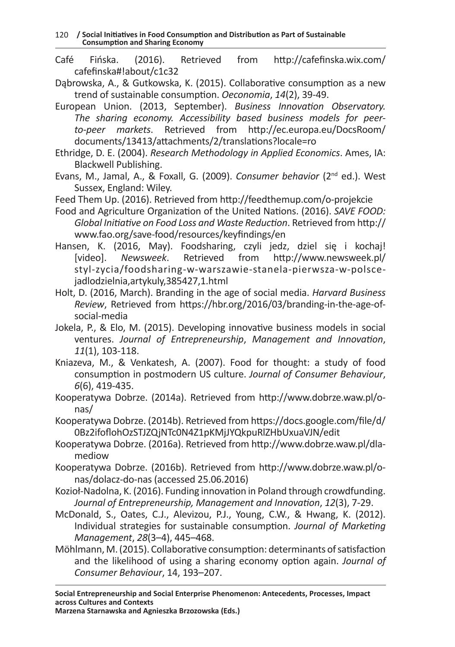120 **/ Social Initiatives in Food Consumption and Distribution as Part of Sustainable Consumption and Sharing Economy**

- Café Fińska. (2016). Retrieved from http://cafefinska.wix.com/ cafefinska#!about/c1c32
- Dąbrowska, A., & Gutkowska, K. (2015). Collaborative consumption as a new trend of sustainable consumption. *Oeconomia*, *14*(2), 39-49.
- European Union. (2013, September). *Business Innovation Observatory. The sharing economy. Accessibility based business models for peerto-peer markets*. Retrieved from http://ec.europa.eu/DocsRoom/ documents/13413/attachments/2/translations?locale=ro
- Ethridge, D. E. (2004). *Research Methodology in Applied Economics*. Ames, IA: Blackwell Publishing.
- Evans, M., Jamal, A., & Foxall, G. (2009). *Consumer behavior* (2nd ed.). West Sussex, England: Wiley.
- Feed Them Up. (2016). Retrieved from http://feedthemup.com/o-projekcie
- Food and Agriculture Organization of the United Nations. (2016). *SAVE FOOD: Global Initiative on Food Loss and Waste Reduction*. Retrieved from http:// www.fao.org/save-food/resources/keyfindings/en
- Hansen, K. (2016, May). Foodsharing, czyli jedz, dziel się i kochaj! Newsweek. Retrieved from http://www.newsweek.pl/ styl-zycia/foodsharing-w-warszawie-stanela-pierwsza-w-polscejadlodzielnia,artykuly,385427,1.html
- Holt, D. (2016, March). Branding in the age of social media. *Harvard Business Review*, Retrieved from https://hbr.org/2016/03/branding-in-the-age-ofsocial-media
- Jokela, P., & Elo, M. (2015). Developing innovative business models in social ventures. *Journal of Entrepreneurship*, *Management and Innovation*, *11*(1), 103-118.
- Kniazeva, M., & Venkatesh, A. (2007). Food for thought: a study of food consumption in postmodern US culture. *Journal of Consumer Behaviour*, *6*(6), 419-435.
- Kooperatywa Dobrze. (2014a). Retrieved from http://www.dobrze.waw.pl/onas/
- Kooperatywa Dobrze. (2014b). Retrieved from https://docs.google.com/file/d/ 0Bz2ifoflohOzSTJZQjNTc0N4Z1pKMjJYQkpuRlZHbUxuaVJN/edit
- Kooperatywa Dobrze. (2016a). Retrieved from http://www.dobrze.waw.pl/dlamediow
- Kooperatywa Dobrze. (2016b). Retrieved from http://www.dobrze.waw.pl/onas/dolacz-do-nas (accessed 25.06.2016)
- Kozioł-Nadolna, K. (2016). Funding innovation in Poland through crowdfunding. *Journal of Entrepreneurship, Management and Innovation*, *12*(3), 7-29.
- McDonald, S., Oates, C.J., Alevizou, P.J., Young, C.W., & Hwang, K. (2012). Individual strategies for sustainable consumption. *Journal of Marketing Management*, *28*(3–4), 445–468.
- Möhlmann, M. (2015). Collaborative consumption: determinants of satisfaction and the likelihood of using a sharing economy option again. *Journal of Consumer Behaviour*, 14, 193–207.

**Social Entrepreneurship and Social Enterprise Phenomenon: Antecedents, Processes, Impact across Cultures and Contexts**

**Marzena Starnawska and Agnieszka Brzozowska (Eds.)**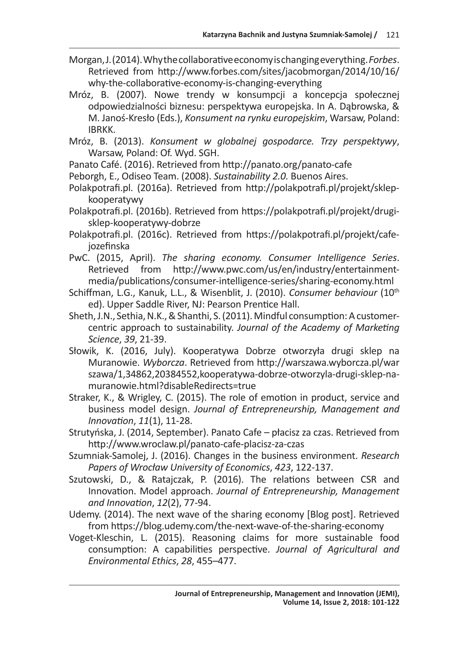- Morgan, J. (2014). Why the collaborative economy is changing everything. *Forbes*. Retrieved from http://www.forbes.com/sites/jacobmorgan/2014/10/16/ why-the-collaborative-economy-is-changing-everything
- Mróz, B. (2007). Nowe trendy w konsumpcji a koncepcja społecznej odpowiedzialności biznesu: perspektywa europejska. In A. Dąbrowska, & M. Janoś-Kresło (Eds.), *Konsument na rynku europejskim*, Warsaw, Poland: IBRKK.
- Mróz, B. (2013). *Konsument w globalnej gospodarce. Trzy perspektywy*, Warsaw, Poland: Of. Wyd. SGH.
- Panato Café. (2016). Retrieved from http://panato.org/panato-cafe
- Peborgh, E., Odiseo Team. (2008). *Sustainability 2.0.* Buenos Aires.
- Polakpotrafi.pl. (2016a). Retrieved from http://polakpotrafi.pl/projekt/sklepkooperatywy
- Polakpotrafi.pl. (2016b). Retrieved from https://polakpotrafi.pl/projekt/drugisklep-kooperatywy-dobrze
- Polakpotrafi.pl. (2016c). Retrieved from https://polakpotrafi.pl/projekt/cafejozefinska
- PwC. (2015, April). *The sharing economy. Consumer Intelligence Series*. Retrieved from http://www.pwc.com/us/en/industry/entertainmentmedia/publications/consumer-intelligence-series/sharing-economy.html
- Schiffman, L.G., Kanuk, L.L., & Wisenblit, J. (2010). *Consumer behaviour* (10th ed). Upper Saddle River, NJ: Pearson Prentice Hall.
- Sheth, J.N., Sethia, N.K., & Shanthi, S. (2011). Mindful consumption: Acustomercentric approach to sustainability. *Journal of the Academy of Marketing Science*, *39*, 21-39.
- Słowik, K. (2016, July). Kooperatywa Dobrze otworzyła drugi sklep na Muranowie. *Wyborcza*. Retrieved from http://warszawa.wyborcza.pl/war szawa/1,34862,20384552,kooperatywa-dobrze-otworzyla-drugi-sklep-namuranowie.html?disableRedirects=true
- Straker, K., & Wrigley, C. (2015). The role of emotion in product, service and business model design. *Journal of Entrepreneurship, Management and Innovation*, *11*(1), 11-28.
- Strutyńska, J. (2014, September). Panato Cafe płacisz za czas. Retrieved from http://www.wroclaw.pl/panato-cafe-placisz-za-czas
- Szumniak-Samolej, J. (2016). Changes in the business environment. *Research Papers of Wrocław University of Economics*, *423*, 122-137.
- Szutowski, D., & Ratajczak, P. (2016). The relations between CSR and Innovation. Model approach. *Journal of Entrepreneurship, Management and Innovation*, *12*(2), 77-94.
- Udemy. (2014). The next wave of the sharing economy [Blog post]. Retrieved from https://blog.udemy.com/the-next-wave-of-the-sharing-economy
- Voget-Kleschin, L. (2015). Reasoning claims for more sustainable food consumption: A capabilities perspective. *Journal of Agricultural and Environmental Ethics*, *28*, 455–477.